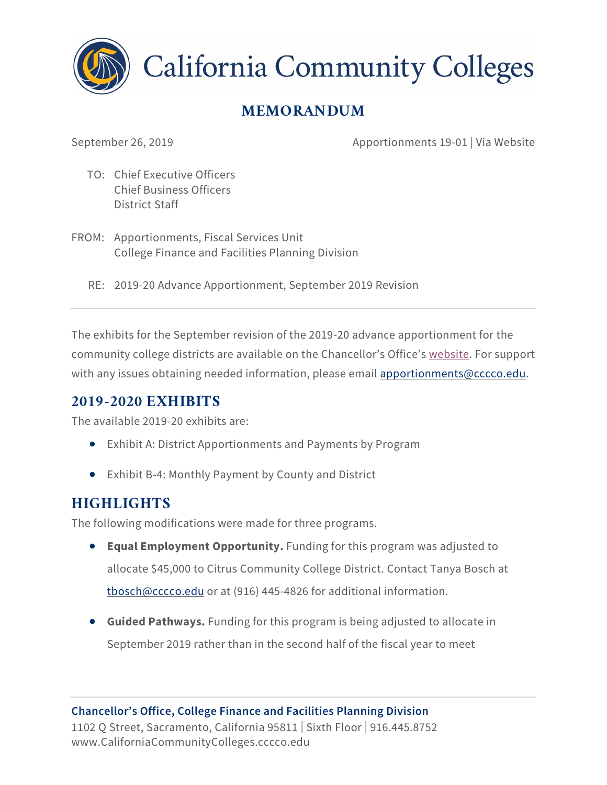

**California Community Colleges** 

## **MEMORANDUM**

September 26, 2019 **Apportionments 19-01** | Via Website

- TO: Chief Executive Officers Chief Business Officers District Staff
- FROM: Apportionments, Fiscal Services Unit College Finance and Facilities Planning Division
	- RE: 2019-20 Advance Apportionment, September 2019 Revision

The exhibits for the September revision of the 2019-20 advance apportionment for the community college districts are available on the Chancellor's Office's [website.](https://www.cccco.edu/About-Us/Chancellors-Office/Divisions/College-Finance-and-Facilities-Planning/Apportionment-Reports-2018-19) For support with any issues obtaining needed information, please email [apportionments@cccco.edu.](mailto:apportionments@cccco.edu)

## **2019-2020 EXHIBITS**

The available 2019-20 exhibits are:

- Exhibit A: District Apportionments and Payments by Program
- Exhibit B-4: Monthly Payment by County and District

## **HIGHLIGHTS**

The following modifications were made for three programs.

- **Equal Employment Opportunity.** Funding for this program was adjusted to allocate \$45,000 to Citrus Community College District. Contact Tanya Bosch at [tbosch@cccco.edu](mailto:tbosch@cccco.edu) or at (916) 445-4826 for additional information.
- **Guided Pathways.** Funding for this program is being adjusted to allocate in September 2019 rather than in the second half of the fiscal year to meet